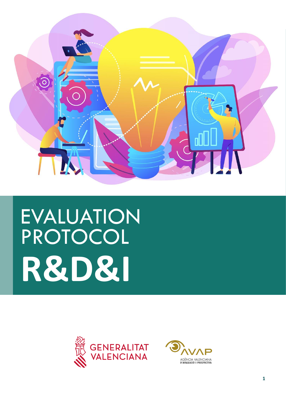

# EVALUATION PROTOCOL **R&D&I**



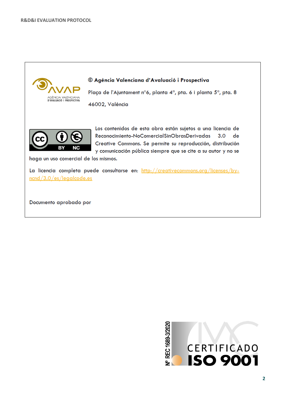

Documento aprobado por

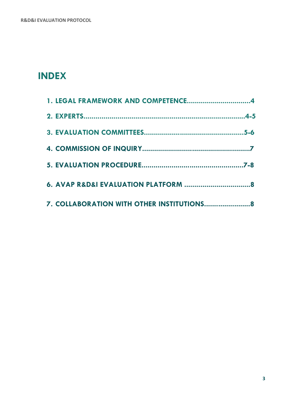# **INDEX**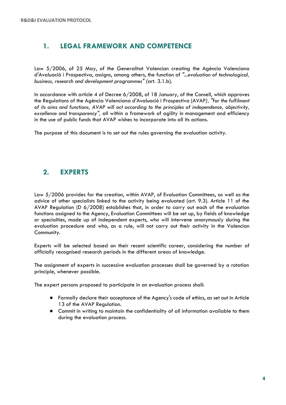# **1. LEGAL FRAMEWORK AND COMPETENCE**

Law 5/2006, of 25 May, of the Generalitat Valencian creating the Agència Valenciana d'Avaluació i Prospectiva, assigns, among others, the function of *"...evaluation of technological, business, research and development programmes" (*art. 3.1.b).

In accordance with article 4 of Decree 6/2008, of 18 January, of the Consell, which approves the Regulations of the Agència Valenciana d'Avaluació i Prospectiva (AVAP*), "for the fulfilment of its aims and functions, AVAP will act according to the principles of independence, objectivity, excellence and transparency",* all within a framework of agility in management and efficiency in the use of public funds that AVAP wishes to incorporate into all its actions.

The purpose of this document is to set out the rules governing the evaluation activity.

### **2. EXPERTS**

Law 5/2006 provides for the creation, within AVAP, of Evaluation Committees, as well as the advice of other specialists linked to the activity being evaluated (art. 9.3). Article 11 of the AVAP Regulation (D 6/2008) establishes that, in order to carry out each of the evaluation functions assigned to the Agency, Evaluation Committees will be set up, by fields of knowledge or specialties, made up of independent experts, who will intervene anonymously during the evaluation procedure and who, as a rule, will not carry out their activity in the Valencian Community.

Experts will be selected based on their recent scientific career, considering the number of officially recognised research periods in the different areas of knowledge.

The assignment of experts in successive evaluation processes shall be governed by a rotation principle, whenever possible.

The expert persons proposed to participate in an evaluation process shall:

- Formally declare their acceptance of the Agency's code of ethics, as set out in Article 13 of the AVAP Regulation.
- Commit in writing to maintain the confidentiality of all information available to them during the evaluation process.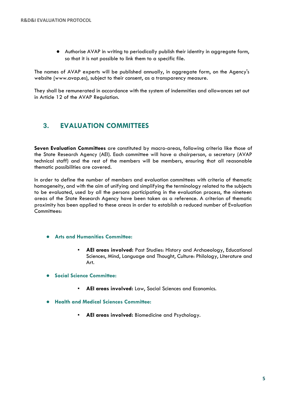● Authorise AVAP in writing to periodically publish their identity in aggregate form, so that it is not possible to link them to a specific file.

The names of AVAP experts will be published annually, in aggregate form, on the Agency's website [\(w](http://www.avap.es/)ww.avap.es), subject to their consent, as a transparency measure.

They shall be remunerated in accordance with the system of indemnities and allowances set out in Article 12 of the AVAP Regulation.

### **3. EVALUATION COMMITTEES**

**Seven Evaluation Committees** are constituted by macro-areas, following criteria like those of the State Research Agency (AEI). Each committee will have a chairperson, a secretary (AVAP technical staff) and the rest of the members will be members, ensuring that all reasonable thematic possibilities are covered.

In order to define the number of members and evaluation committees with criteria of thematic homogeneity, and with the aim of unifying and simplifying the terminology related to the subjects to be evaluated, used by all the persons participating in the evaluation process, the nineteen areas of the State Research Agency have been taken as a reference. A criterion of thematic proximity has been applied to these areas in order to establish a reduced number of Evaluation Committees:

- **Arts and Humanities Committee:**
	- AEI areas involved: Past Studies: History and Archaeology, Educational Sciences, Mind, Language and Thought, Culture: Philology, Literature and Art.
- **Social Science Committee:**
	- **AEI areas involved:** Law, Social Sciences and Economics.
- **Health and Medical Sciences Committee:**
	- **AEI areas involved:** Biomedicine and Psychology.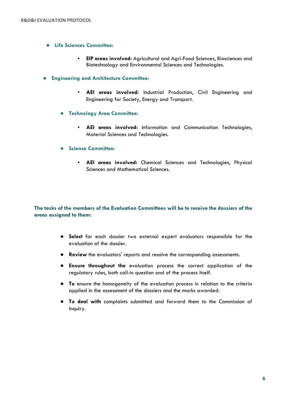- **Life Sciences Committee:**
	- **EIP areas involved:** Agricultural and Agri-Food Sciences, Biosciences and Biotechnology and Environmental Sciences and Technologies.
- **Engineering and Architecture Committee:**
	- **AEI areas involved:** Industrial Production, Civil Engineering and Engineering for Society, Energy and Transport.
	- **Technology Area Committee:**
		- **AEI areas involved:** Information and Communication Technologies, Material Sciences and Technologies.
	- **Science Committee:**
		- **AEI areas involved:** Chemical Sciences and Technologies, Physical Sciences and Mathematical Sciences.

#### **The tasks of the members of the Evaluation Committees will be to receive the dossiers of the areas assigned to them:**

- **Select** for each dossier two external expert evaluators responsible for the evaluation of the dossier.
- **Review** the evaluators' reports and resolve the corresponding assessments.
- **Ensure throughout the** evaluation process the correct application of the regulatory rules, both call-in question and of the process itself.
- **To** ensure the homogeneity of the evaluation process in relation to the criteria applied in the assessment of the dossiers and the marks awarded.
- **To deal with** complaints submitted and forward them to the Commission of Inquiry.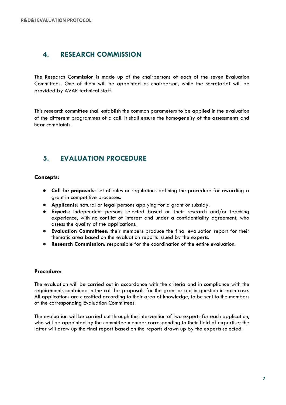#### **4. RESEARCH COMMISSION**

The Research Commission is made up of the chairpersons of each of the seven Evaluation Committees. One of them will be appointed as chairperson, while the secretariat will be provided by AVAP technical staff.

This research committee shall establish the common parameters to be applied in the evaluation of the different programmes of a call. It shall ensure the homogeneity of the assessments and hear complaints.

## **5. EVALUATION PROCEDURE**

#### **Concepts:**

- **Call for proposals**: set of rules or regulations defining the procedure for awarding a grant in competitive processes.
- **Applicants**: natural or legal persons applying for a grant or subsidy.
- **Experts**: independent persons selected based on their research and/or teaching experience, with no conflict of interest and under a confidentiality agreement, who assess the quality of the applications.
- **Evaluation Committees**: their members produce the final evaluation report for their thematic area based on the evaluation reports issued by the experts.
- **Research Commission**: responsible for the coordination of the entire evaluation.

#### **Procedure:**

The evaluation will be carried out in accordance with the criteria and in compliance with the requirements contained in the call for proposals for the grant or aid in question in each case. All applications are classified according to their area of knowledge, to be sent to the members of the corresponding Evaluation Committees.

The evaluation will be carried out through the intervention of two experts for each application, who will be appointed by the committee member corresponding to their field of expertise; the latter will draw up the final report based on the reports drawn up by the experts selected.